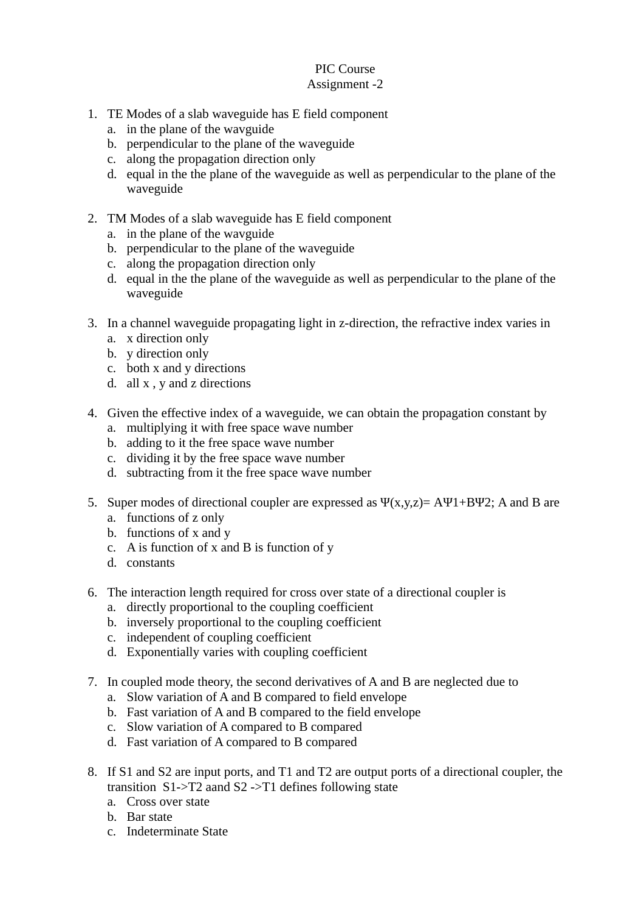## PIC Course Assignment -2

- 1. TE Modes of a slab waveguide has E field component
	- a. in the plane of the wavguide
	- b. perpendicular to the plane of the waveguide
	- c. along the propagation direction only
	- d. equal in the the plane of the waveguide as well as perpendicular to the plane of the waveguide
- 2. TM Modes of a slab waveguide has E field component
	- a. in the plane of the wavguide
	- b. perpendicular to the plane of the waveguide
	- c. along the propagation direction only
	- d. equal in the the plane of the waveguide as well as perpendicular to the plane of the waveguide
- 3. In a channel waveguide propagating light in z-direction, the refractive index varies in
	- a. x direction only
	- b. y direction only
	- c. both x and y directions
	- d. all x , y and z directions
- 4. Given the effective index of a waveguide, we can obtain the propagation constant by
	- a. multiplying it with free space wave number
	- b. adding to it the free space wave number
	- c. dividing it by the free space wave number
	- d. subtracting from it the free space wave number
- 5. Super modes of directional coupler are expressed as  $\Psi(x,y,z) = A\Psi 1 + B\Psi 2$ ; A and B are
	- a. functions of z only
	- b. functions of x and y
	- c. A is function of x and B is function of y
	- d. constants
- 6. The interaction length required for cross over state of a directional coupler is
	- a. directly proportional to the coupling coefficient
	- b. inversely proportional to the coupling coefficient
	- c. independent of coupling coefficient
	- d. Exponentially varies with coupling coefficient
- 7. In coupled mode theory, the second derivatives of A and B are neglected due to
	- a. Slow variation of A and B compared to field envelope
	- b. Fast variation of A and B compared to the field envelope
	- c. Slow variation of A compared to B compared
	- d. Fast variation of A compared to B compared
- 8. If S1 and S2 are input ports, and T1 and T2 are output ports of a directional coupler, the transition S1->T2 aand S2 ->T1 defines following state
	- a. Cross over state
	- b. Bar state
	- c. Indeterminate State